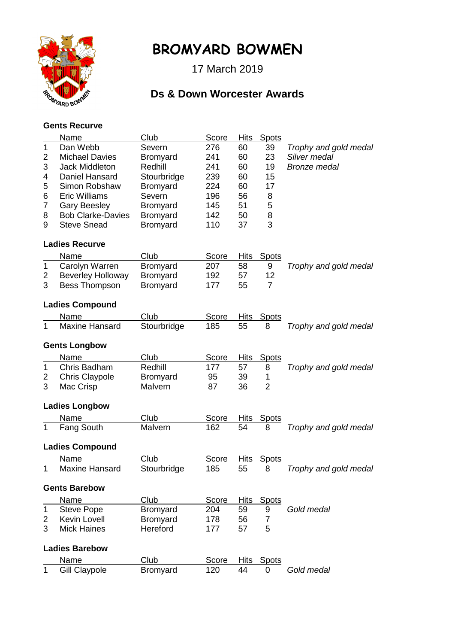

## **BROMYARD BOWMEN**

17 March 2019

## **Ds & Down Worcester Awards**

## **Gents Recurve**

|                      | Name                     | Club            | Score        | <b>Hits</b> | <b>Spots</b>   |                       |  |  |  |
|----------------------|--------------------------|-----------------|--------------|-------------|----------------|-----------------------|--|--|--|
| 1                    | Dan Webb                 | Severn          | 276          | 60          | 39             | Trophy and gold medal |  |  |  |
| $\overline{2}$       | <b>Michael Davies</b>    | <b>Bromyard</b> | 241          | 60          | 23             | Silver medal          |  |  |  |
| 3                    | <b>Jack Middleton</b>    | Redhill         | 241          | 60          | 19             | <b>Bronze</b> medal   |  |  |  |
| 4                    | Daniel Hansard           | Stourbridge     | 239          | 60          | 15             |                       |  |  |  |
| 5                    | Simon Robshaw            | <b>Bromyard</b> | 224          | 60          | 17             |                       |  |  |  |
| 6                    | <b>Eric Williams</b>     | Severn          | 196          | 56          | 8              |                       |  |  |  |
| 7                    | <b>Gary Beesley</b>      | <b>Bromyard</b> | 145          | 51          | 5              |                       |  |  |  |
| 8                    | <b>Bob Clarke-Davies</b> | <b>Bromyard</b> | 142          | 50          | 8              |                       |  |  |  |
| 9                    | <b>Steve Snead</b>       | Bromyard        | 110          | 37          | 3              |                       |  |  |  |
|                      | <b>Ladies Recurve</b>    |                 |              |             |                |                       |  |  |  |
|                      | Name                     | Club            | Score        | <b>Hits</b> | <b>Spots</b>   |                       |  |  |  |
| 1                    | Carolyn Warren           | <b>Bromyard</b> | 207          | 58          | 9              | Trophy and gold medal |  |  |  |
| 2                    | <b>Beverley Holloway</b> | Bromyard        | 192          | 57          | 12             |                       |  |  |  |
| 3                    | <b>Bess Thompson</b>     | <b>Bromyard</b> | 177          | 55          | $\overline{7}$ |                       |  |  |  |
|                      |                          |                 |              |             |                |                       |  |  |  |
|                      | <b>Ladies Compound</b>   |                 |              |             |                |                       |  |  |  |
|                      | Name                     | Club            | <b>Score</b> | <b>Hits</b> | <u>Spots</u>   |                       |  |  |  |
| 1                    | <b>Maxine Hansard</b>    | Stourbridge     | 185          | 55          | 8              | Trophy and gold medal |  |  |  |
| <b>Gents Longbow</b> |                          |                 |              |             |                |                       |  |  |  |
|                      | Name                     | Club            | Score        | <b>Hits</b> | <b>Spots</b>   |                       |  |  |  |
| 1                    | Chris Badham             | Redhill         | 177          | 57          | 8              | Trophy and gold medal |  |  |  |
| 2                    | <b>Chris Claypole</b>    | <b>Bromyard</b> | 95           | 39          | 1              |                       |  |  |  |
| 3                    | Mac Crisp                | Malvern         | 87           | 36          | $\overline{2}$ |                       |  |  |  |
|                      |                          |                 |              |             |                |                       |  |  |  |
|                      | <b>Ladies Longbow</b>    |                 |              |             |                |                       |  |  |  |
|                      | Name                     | Club            | Score        | <b>Hits</b> | <b>Spots</b>   |                       |  |  |  |
| 1                    | <b>Fang South</b>        | Malvern         | 162          | 54          | 8              | Trophy and gold medal |  |  |  |
|                      | <b>Ladies Compound</b>   |                 |              |             |                |                       |  |  |  |
|                      | Name                     | Club            | Score        | <b>Hits</b> | <b>Spots</b>   |                       |  |  |  |
|                      | <b>Maxine Hansard</b>    | Stourbridge     | 185          | 55          | 8              | Trophy and gold medal |  |  |  |
|                      | <b>Gents Barebow</b>     |                 |              |             |                |                       |  |  |  |
|                      | Name                     | Club            | Score        | <b>Hits</b> | <b>Spots</b>   |                       |  |  |  |
| 1                    | <b>Steve Pope</b>        | Bromyard        | 204          | 59          | 9              | Gold medal            |  |  |  |
| 2                    | <b>Kevin Lovell</b>      | <b>Bromyard</b> | 178          | 56          | $\overline{7}$ |                       |  |  |  |
| 3                    | <b>Mick Haines</b>       | Hereford        | 177          | 57          | 5              |                       |  |  |  |
|                      | <b>Ladies Barebow</b>    |                 |              |             |                |                       |  |  |  |
|                      | Name                     | Club            | Score        | <b>Hits</b> | <b>Spots</b>   |                       |  |  |  |
| 1                    | <b>Gill Claypole</b>     | Bromyard        | 120          | 44          | 0              | Gold medal            |  |  |  |